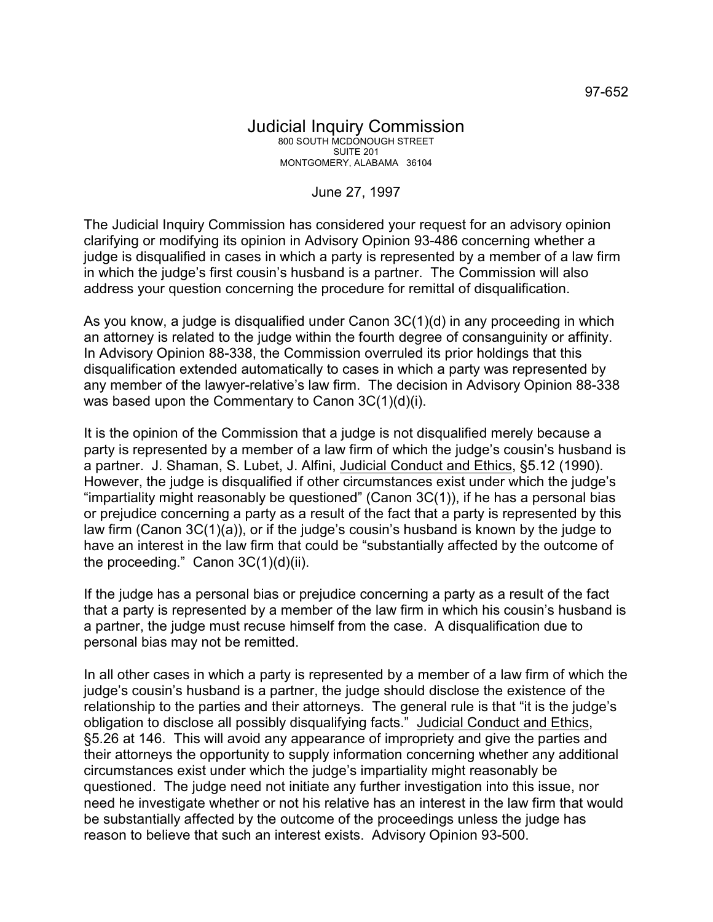## June 27, 1997

The Judicial Inquiry Commission has considered your request for an advisory opinion clarifying or modifying its opinion in Advisory Opinion 93-486 concerning whether a judge is disqualified in cases in which a party is represented by a member of a law firm in which the judge's first cousin's husband is a partner. The Commission will also address your question concerning the procedure for remittal of disqualification.

As you know, a judge is disqualified under Canon 3C(1)(d) in any proceeding in which an attorney is related to the judge within the fourth degree of consanguinity or affinity. In Advisory Opinion 88-338, the Commission overruled its prior holdings that this disqualification extended automatically to cases in which a party was represented by any member of the lawyer-relative's law firm. The decision in Advisory Opinion 88-338 was based upon the Commentary to Canon 3C(1)(d)(i).

It is the opinion of the Commission that a judge is not disqualified merely because a party is represented by a member of a law firm of which the judge's cousin's husband is a partner. J. Shaman, S. Lubet, J. Alfini, Judicial Conduct and Ethics, §5.12 (1990). However, the judge is disqualified if other circumstances exist under which the judge's "impartiality might reasonably be questioned" (Canon  $3C(1)$ ), if he has a personal bias or prejudice concerning a party as a result of the fact that a party is represented by this law firm (Canon 3C(1)(a)), or if the judge's cousin's husband is known by the judge to have an interest in the law firm that could be "substantially affected by the outcome of the proceeding." Canon 3C(1)(d)(ii).

If the judge has a personal bias or prejudice concerning a party as a result of the fact that a party is represented by a member of the law firm in which his cousin's husband is a partner, the judge must recuse himself from the case. A disqualification due to personal bias may not be remitted.

In all other cases in which a party is represented by a member of a law firm of which the judge's cousin's husband is a partner, the judge should disclose the existence of the relationship to the parties and their attorneys. The general rule is that "it is the judge's obligation to disclose all possibly disqualifying facts." Judicial Conduct and Ethics, §5.26 at 146. This will avoid any appearance of impropriety and give the parties and their attorneys the opportunity to supply information concerning whether any additional circumstances exist under which the judge's impartiality might reasonably be questioned. The judge need not initiate any further investigation into this issue, nor need he investigate whether or not his relative has an interest in the law firm that would be substantially affected by the outcome of the proceedings unless the judge has reason to believe that such an interest exists. Advisory Opinion 93-500.